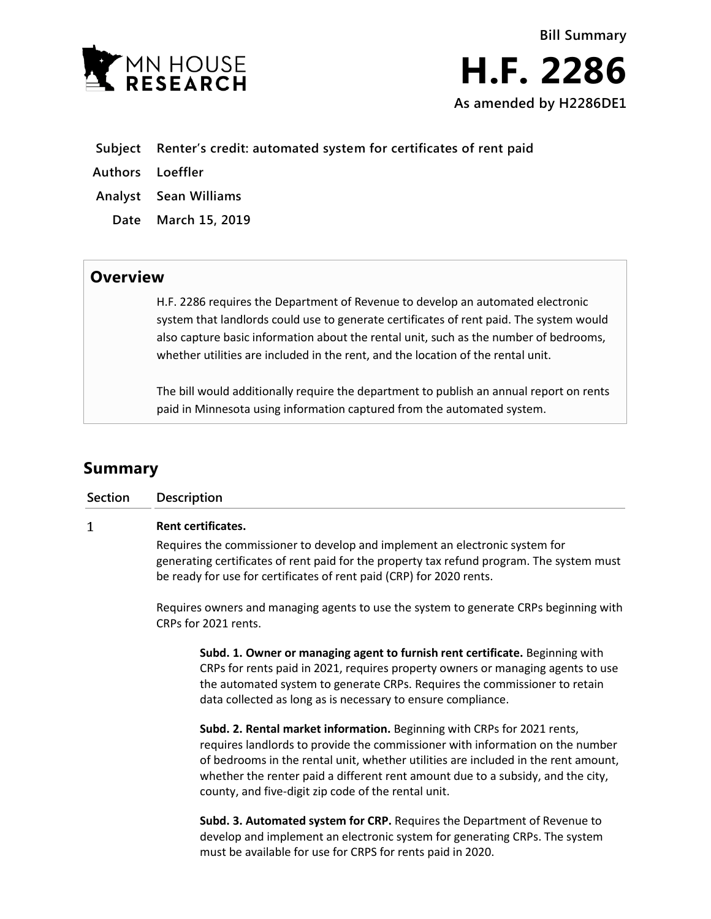

- **Subject Renter's credit: automated system for certificates of rent paid**
- **Authors Loeffler**
- **Analyst Sean Williams**
	- **Date March 15, 2019**

## **Overview**

H.F. 2286 requires the Department of Revenue to develop an automated electronic system that landlords could use to generate certificates of rent paid. The system would also capture basic information about the rental unit, such as the number of bedrooms, whether utilities are included in the rent, and the location of the rental unit.

The bill would additionally require the department to publish an annual report on rents paid in Minnesota using information captured from the automated system.

# **Summary**

| <b>Section</b> | <b>Description</b>                                                                                                                                                                                                                                                                                                                                                                       |
|----------------|------------------------------------------------------------------------------------------------------------------------------------------------------------------------------------------------------------------------------------------------------------------------------------------------------------------------------------------------------------------------------------------|
| 1              | Rent certificates.                                                                                                                                                                                                                                                                                                                                                                       |
|                | Requires the commissioner to develop and implement an electronic system for<br>generating certificates of rent paid for the property tax refund program. The system must<br>be ready for use for certificates of rent paid (CRP) for 2020 rents.                                                                                                                                         |
|                | Requires owners and managing agents to use the system to generate CRPs beginning with<br>CRPs for 2021 rents.                                                                                                                                                                                                                                                                            |
|                | Subd. 1. Owner or managing agent to furnish rent certificate. Beginning with<br>CRPs for rents paid in 2021, requires property owners or managing agents to use<br>the automated system to generate CRPs. Requires the commissioner to retain<br>data collected as long as is necessary to ensure compliance.                                                                            |
|                | Subd. 2. Rental market information. Beginning with CRPs for 2021 rents,<br>requires landlords to provide the commissioner with information on the number<br>of bedrooms in the rental unit, whether utilities are included in the rent amount,<br>whether the renter paid a different rent amount due to a subsidy, and the city,<br>county, and five-digit zip code of the rental unit. |
|                | Subd. 3. Automated system for CRP. Requires the Department of Revenue to<br>develop and implement an electronic system for generating CRPs. The system<br>must be available for use for CRPS for rents paid in 2020.                                                                                                                                                                     |